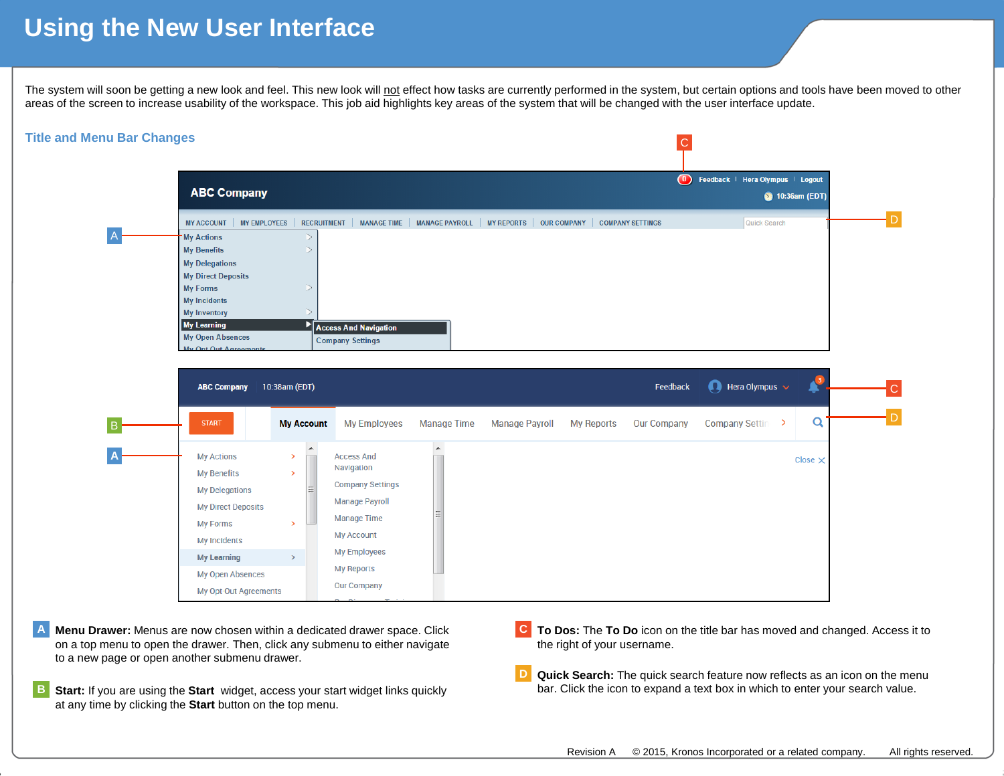## **Using the New User Interface**

The system will soon be getting a new look and feel. This new look will not effect how tasks are currently performed in the system, but certain options and tools have been moved to other areas of the screen to increase usability of the workspace. This job aid highlights key areas of the system that will be changed with the user interface update.



- **Menu Drawer:** Menus are now chosen within a dedicated drawer space. Click on a top menu to open the drawer. Then, click any submenu to either navigate to a new page or open another submenu drawer. **A**
- **Start:** If you are using the **Start** widget, access your start widget links quickly at any time by clicking the **Start** button on the top menu. **B**
- **To Dos:** The **To Do** icon on the title bar has moved and changed. Access it to **C** the right of your username.
- **Quick Search:** The quick search feature now reflects as an icon on the menu bar. Click the icon to expand a text box in which to enter your search value. **D**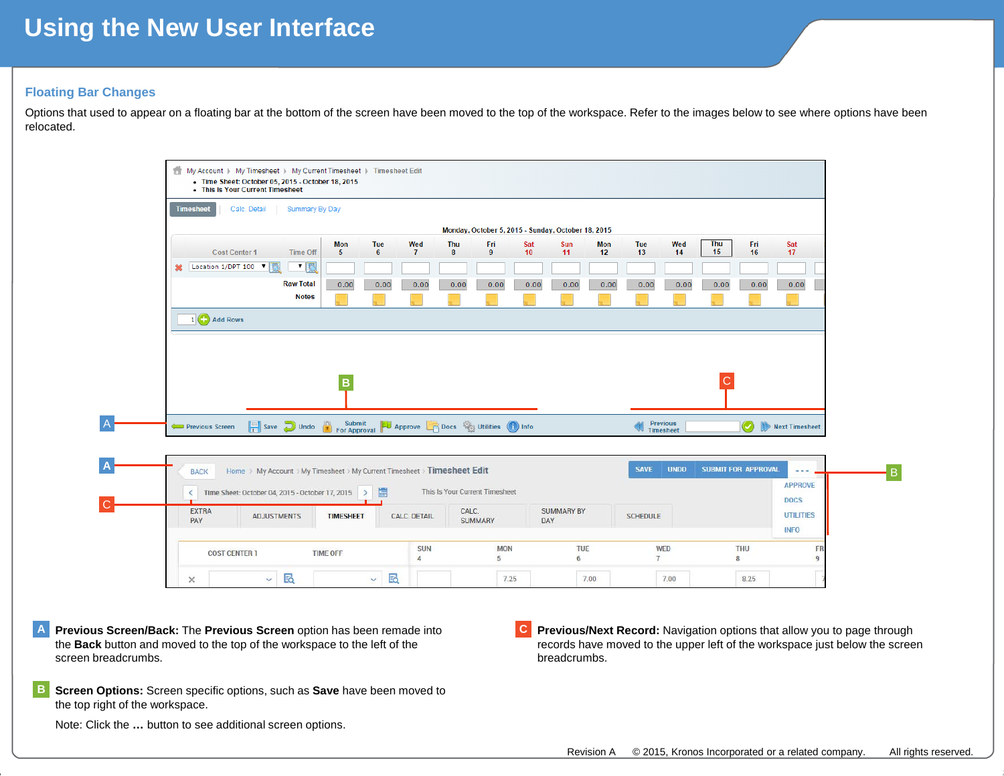## **Using the New User Interface**

## **Floating Bar Changes**

Options that used to appear on a floating bar at the bottom of the screen have been moved to the top of the workspace. Refer to the images below to see where options have been relocated.

| <b>Timesheet</b> | Calc. Detail                                                             | Summary By Day   |                  |                    |                     |                                                               |           |                   |           |                                |             |                  |                             |                                 |
|------------------|--------------------------------------------------------------------------|------------------|------------------|--------------------|---------------------|---------------------------------------------------------------|-----------|-------------------|-----------|--------------------------------|-------------|------------------|-----------------------------|---------------------------------|
|                  |                                                                          |                  |                  |                    |                     | Monday, October 5, 2015 - Sunday, October 18, 2015            |           |                   |           |                                |             |                  |                             |                                 |
|                  | <b>Cost Center 1</b>                                                     | <b>Time Off</b>  | <b>Mon</b><br>-5 | Tue<br>$6^{\circ}$ | Wed<br>$\mathbf{7}$ | Thu<br>Fri<br>8<br>9                                          | Sat<br>10 | Sun<br>11         | Mon<br>12 | Tue<br>13                      | Wed<br>14   | <b>Thu</b><br>15 | Fri<br>16                   | Sat<br>17                       |
|                  | Location 1/DPT 100 V                                                     | $\blacksquare$   |                  |                    |                     |                                                               |           |                   |           |                                |             |                  |                             |                                 |
|                  |                                                                          | <b>Raw Total</b> | 0.00             | 0.00               | 0.00                | 0.00<br>0.00                                                  | 0.00      | 0.00              | 0.00      | 0.00                           | 0.00        | 0.00             | 0.00                        | 0.00                            |
|                  |                                                                          | <b>Notes</b>     |                  |                    |                     |                                                               |           |                   |           |                                |             |                  |                             |                                 |
|                  | 1 Add Rows                                                               |                  |                  |                    |                     |                                                               |           |                   |           |                                |             |                  |                             |                                 |
|                  |                                                                          |                  |                  |                    |                     |                                                               |           |                   |           |                                |             |                  |                             |                                 |
|                  |                                                                          |                  |                  |                    |                     |                                                               |           |                   |           |                                |             |                  |                             |                                 |
|                  |                                                                          |                  |                  |                    |                     |                                                               |           |                   |           |                                |             |                  |                             |                                 |
|                  |                                                                          |                  |                  |                    |                     |                                                               |           |                   |           |                                |             |                  |                             |                                 |
|                  |                                                                          |                  |                  |                    |                     |                                                               |           |                   |           |                                |             |                  |                             |                                 |
|                  |                                                                          |                  | в                |                    |                     |                                                               |           |                   |           |                                |             | С                |                             |                                 |
|                  |                                                                          |                  |                  |                    |                     |                                                               |           |                   |           |                                |             |                  |                             |                                 |
|                  |                                                                          |                  |                  |                    |                     |                                                               |           |                   |           |                                |             |                  |                             |                                 |
| Previous Screen  |                                                                          |                  |                  |                    |                     | Save Undo in Submit PJ Approve Co Docs Way Utilities not info |           |                   |           | <b>W</b> Previous<br>Timesheet |             |                  | $\left( \mathcal{S}\right)$ | Next Timesheet                  |
|                  |                                                                          |                  |                  |                    |                     |                                                               |           |                   |           |                                |             |                  |                             |                                 |
|                  |                                                                          |                  |                  |                    |                     |                                                               |           |                   |           |                                |             |                  |                             |                                 |
| <b>BACK</b>      | Home > My Account > My Timesheet > My Current Timesheet > Timesheet Edit |                  |                  |                    |                     |                                                               |           |                   |           | <b>SAVE</b>                    | <b>UNDO</b> |                  | <b>SUBMIT FOR APPROVAL</b>  | <b>ALC N</b>                    |
|                  |                                                                          |                  |                  |                    |                     |                                                               |           |                   |           |                                |             |                  |                             | <b>APPROVE</b>                  |
| ≺                | Time Sheet: October 04, 2015 - October 17, 2015 >                        |                  |                  | 冒                  |                     | This Is Your Current Timesheet                                |           |                   |           |                                |             |                  |                             |                                 |
| <b>EXTRA</b>     | <b>ADJUSTMENTS</b>                                                       |                  | <b>TIMESHEET</b> |                    | <b>CALC. DETAIL</b> | CALC.                                                         |           | <b>SUMMARY BY</b> |           | <b>SCHEDULE</b>                |             |                  |                             | <b>DOCS</b><br><b>UTILITIES</b> |

7.25

 $7.00$ 

**Previous Screen/Back:** The **Previous Screen** option has been remade into the **Back** button and moved to the top of the workspace to the left of the screen breadcrumbs. **A**

 $\vee$  5

 $\vee$   $\boxtimes$ 

**Screen Options:** Screen specific options, such as **Save** have been moved to the top right of the workspace. **B**

Note: Click the **…** button to see additional screen options.

 $\times$ 

**Previous/Next Record:** Navigation options that allow you to page through records have moved to the upper left of the workspace just below the screen breadcrumbs. **C**

8.25

7.00

B